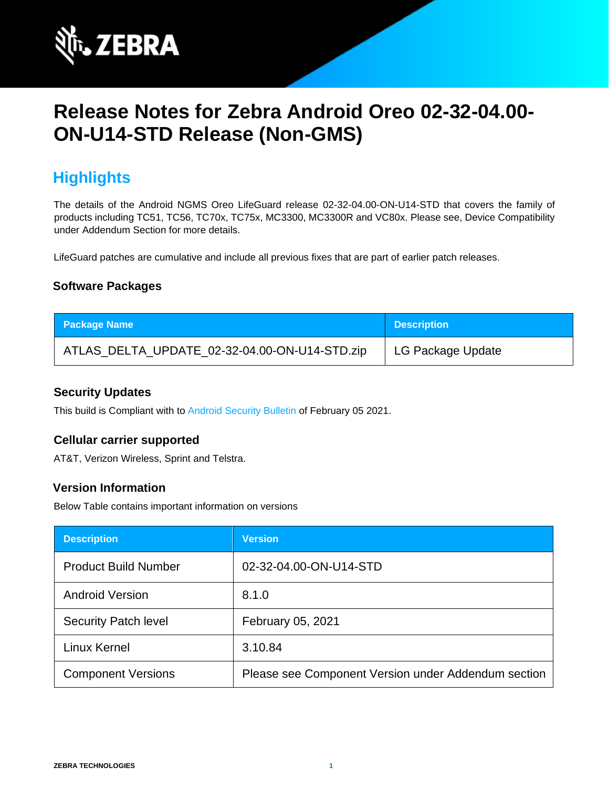

# **Release Notes for Zebra Android Oreo 02-32-04.00- ON-U14-STD Release (Non-GMS)**

# **Highlights**

The details of the Android NGMS Oreo LifeGuard release 02-32-04.00-ON-U14-STD that covers the family of products including TC51, TC56, TC70x, TC75x, MC3300, MC3300R and VC80x. Please see, Device Compatibility under Addendum Section for more details.

LifeGuard patches are cumulative and include all previous fixes that are part of earlier patch releases.

#### **Software Packages**

| <b>Package Name</b>                           | <b>Description</b> |
|-----------------------------------------------|--------------------|
| ATLAS_DELTA_UPDATE_02-32-04.00-ON-U14-STD.zip | LG Package Update  |

#### **Security Updates**

This build is Compliant with to [Android Security Bulletin](https://source.android.com/security/bulletin/) [o](https://source.android.com/security/bulletin/)f February 05 2021.

#### **Cellular carrier supported**

AT&T, Verizon Wireless, Sprint and Telstra.

#### **Version Information**

Below Table contains important information on versions

| <b>Description</b>          | <b>Version</b>                                      |
|-----------------------------|-----------------------------------------------------|
| <b>Product Build Number</b> | 02-32-04.00-ON-U14-STD                              |
| <b>Android Version</b>      | 8.1.0                                               |
| <b>Security Patch level</b> | February 05, 2021                                   |
| Linux Kernel                | 3.10.84                                             |
| <b>Component Versions</b>   | Please see Component Version under Addendum section |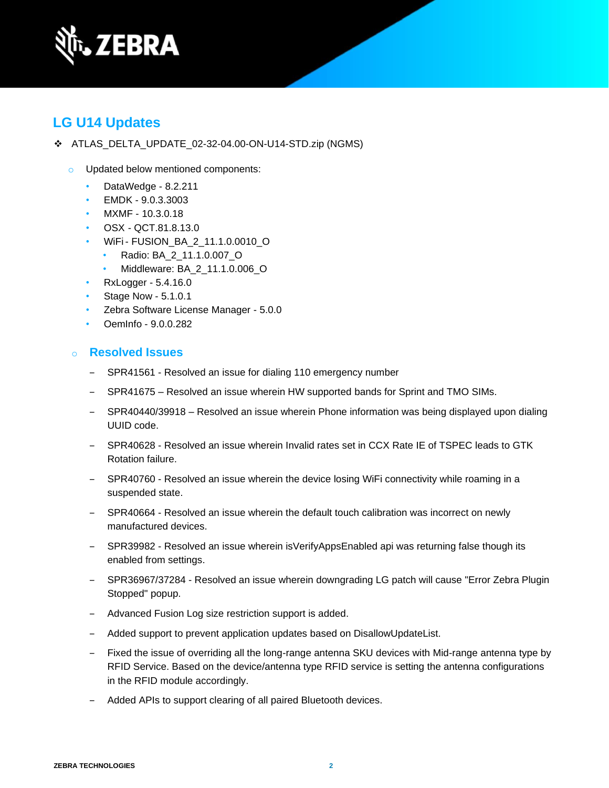

## **LG U14 Updates**

- ❖ ATLAS\_DELTA\_UPDATE\_02-32-04.00-ON-U14-STD.zip (NGMS)
	- o Updated below mentioned components:
		- DataWedge 8.2.211
		- EMDK 9.0.3.3003
		- MXMF 10.3.0.18
		- OSX QCT.81.8.13.0
		- WiFi- FUSION\_BA\_2\_11.1.0.0010\_O
			- Radio: BA\_2\_11.1.0.007\_O
				- Middleware: BA\_2\_11.1.0.006\_O
		- RxLogger 5.4.16.0
		- Stage Now 5.1.0.1
		- Zebra Software License Manager 5.0.0
		- OemInfo 9.0.0.282

#### o **Resolved Issues**

- SPR41561 Resolved an issue for dialing 110 emergency number
- SPR41675 Resolved an issue wherein HW supported bands for Sprint and TMO SIMs.
- ‒ SPR40440/39918 Resolved an issue wherein Phone information was being displayed upon dialing UUID code.
- ‒ SPR40628 Resolved an issue wherein Invalid rates set in CCX Rate IE of TSPEC leads to GTK Rotation failure.
- ‒ SPR40760 Resolved an issue wherein the device losing WiFi connectivity while roaming in a suspended state.
- ‒ SPR40664 Resolved an issue wherein the default touch calibration was incorrect on newly manufactured devices.
- ‒ SPR39982 Resolved an issue wherein isVerifyAppsEnabled api was returning false though its enabled from settings.
- ‒ SPR36967/37284 Resolved an issue wherein downgrading LG patch will cause "Error Zebra Plugin Stopped" popup.
- Advanced Fusion Log size restriction support is added.
- ‒ Added support to prevent application updates based on DisallowUpdateList.
- ‒ Fixed the issue of overriding all the long-range antenna SKU devices with Mid-range antenna type by RFID Service. Based on the device/antenna type RFID service is setting the antenna configurations in the RFID module accordingly.
- ‒ Added APIs to support clearing of all paired Bluetooth devices.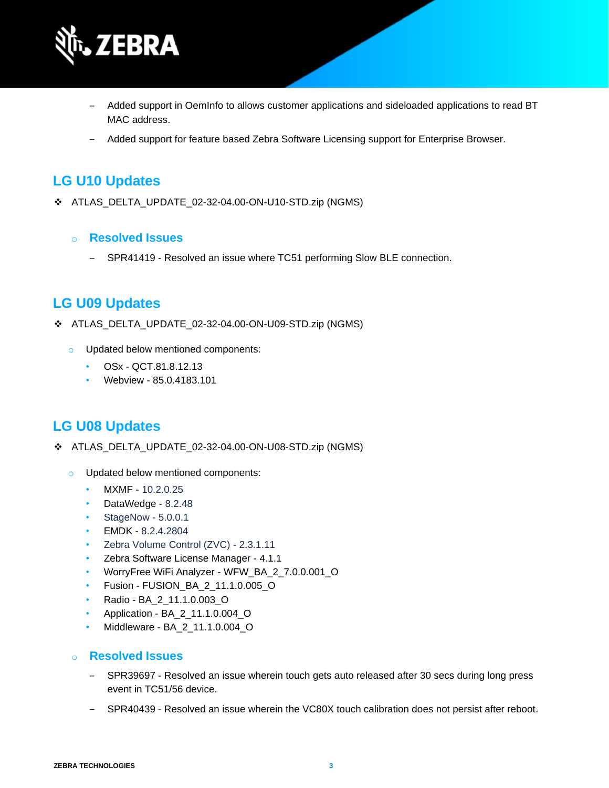

- ‒ Added support in OemInfo to allows customer applications and sideloaded applications to read BT MAC address.
- ‒ Added support for feature based Zebra Software Licensing support for Enterprise Browser.

### **LG U10 Updates**

- ❖ ATLAS\_DELTA\_UPDATE\_02-32-04.00-ON-U10-STD.zip (NGMS)
	- o **Resolved Issues**
		- SPR41419 Resolved an issue where TC51 performing Slow BLE connection.

### **LG U09 Updates**

- ❖ ATLAS\_DELTA\_UPDATE\_02-32-04.00-ON-U09-STD.zip (NGMS)
	- o Updated below mentioned components:
		- OSx QCT.81.8.12.13
		- Webview 85.0.4183.101

### **LG U08 Updates**

- ❖ ATLAS\_DELTA\_UPDATE\_02-32-04.00-ON-U08-STD.zip (NGMS)
	- o Updated below mentioned components:
		- MXMF 10.2.0.25
		- DataWedge 8.2.48
		- StageNow 5.0.0.1
		- EMDK 8.2.4.2804
		- Zebra Volume Control (ZVC) 2.3.1.11
		- Zebra Software License Manager 4.1.1
		- WorryFree WiFi Analyzer WFW\_BA\_2\_7.0.0.001\_O
		- Fusion FUSION\_BA\_2\_11.1.0.005\_O
		- Radio BA\_2\_11.1.0.003\_O
		- Application BA\_2\_11.1.0.004\_O
		- Middleware BA\_2\_11.1.0.004\_O
	- o **Resolved Issues** 
		- ‒ SPR39697 Resolved an issue wherein touch gets auto released after 30 secs during long press event in TC51/56 device.
		- ‒ SPR40439 Resolved an issue wherein the VC80X touch calibration does not persist after reboot.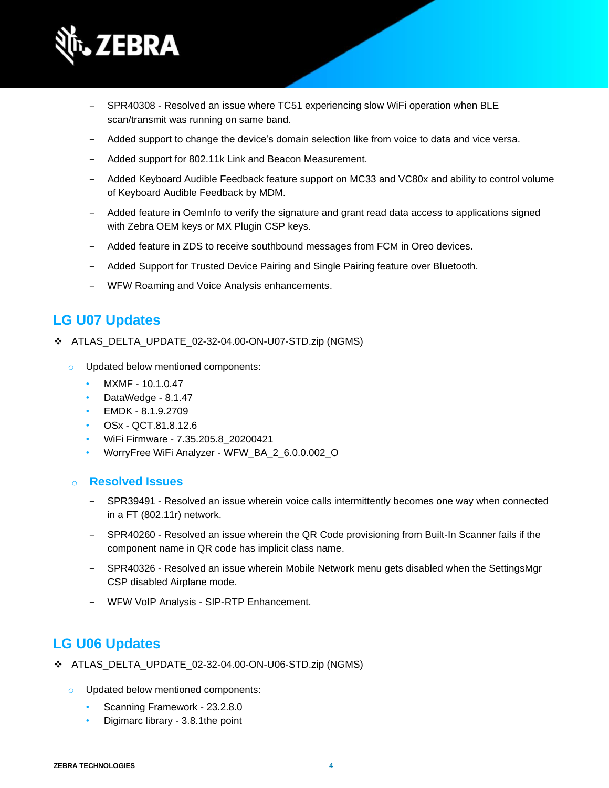

- ‒ SPR40308 Resolved an issue where TC51 experiencing slow WiFi operation when BLE scan/transmit was running on same band.
- ‒ Added support to change the device's domain selection like from voice to data and vice versa.
- Added support for 802.11k Link and Beacon Measurement.
- ‒ Added Keyboard Audible Feedback feature support on MC33 and VC80x and ability to control volume of Keyboard Audible Feedback by MDM.
- ‒ Added feature in OemInfo to verify the signature and grant read data access to applications signed with Zebra OEM keys or MX Plugin CSP keys.
- ‒ Added feature in ZDS to receive southbound messages from FCM in Oreo devices.
- ‒ Added Support for Trusted Device Pairing and Single Pairing feature over Bluetooth.
- ‒ WFW Roaming and Voice Analysis enhancements.

### **LG U07 Updates**

- ❖ ATLAS\_DELTA\_UPDATE\_02-32-04.00-ON-U07-STD.zip (NGMS)
	- o Updated below mentioned components:
		- MXMF 10.1.0.47
		- DataWedge 8.1.47
		- EMDK 8.1.9.2709
		- OSx QCT.81.8.12.6
		- WiFi Firmware 7.35.205.8\_20200421
		- WorryFree WiFi Analyzer WFW\_BA\_2\_6.0.0.002\_O

#### o **Resolved Issues**

- ‒ SPR39491 Resolved an issue wherein voice calls intermittently becomes one way when connected in a FT (802.11r) network.
- ‒ SPR40260 Resolved an issue wherein the QR Code provisioning from Built-In Scanner fails if the component name in QR code has implicit class name.
- ‒ SPR40326 Resolved an issue wherein Mobile Network menu gets disabled when the SettingsMgr CSP disabled Airplane mode.
- WFW VoIP Analysis SIP-RTP Enhancement.

### **LG U06 Updates**

- ❖ ATLAS\_DELTA\_UPDATE\_02-32-04.00-ON-U06-STD.zip (NGMS)
	- o Updated below mentioned components:
		- Scanning Framework 23.2.8.0
		- Digimarc library 3.8.1the point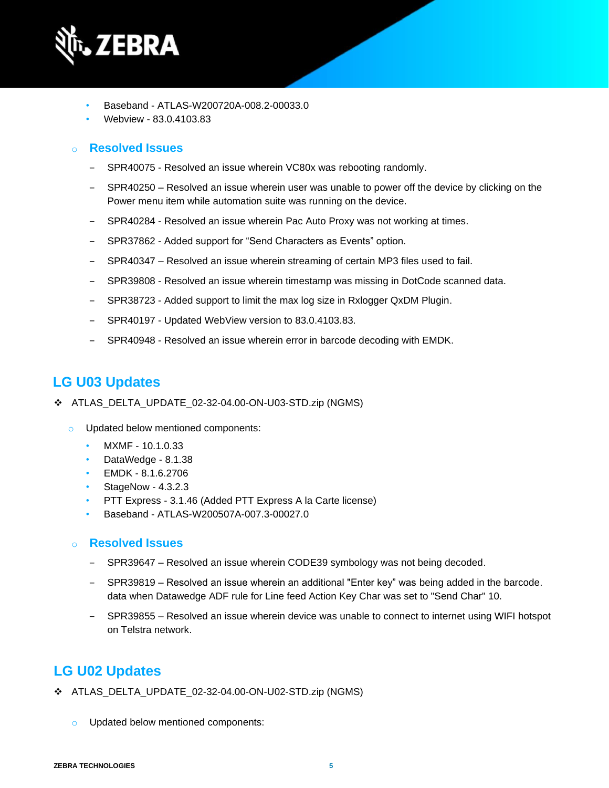

- Baseband ATLAS-W200720A-008.2-00033.0
- Webview 83.0.4103.83

#### o **Resolved Issues**

- SPR40075 Resolved an issue wherein VC80x was rebooting randomly.
- SPR40250 Resolved an issue wherein user was unable to power off the device by clicking on the Power menu item while automation suite was running on the device.
- SPR40284 Resolved an issue wherein Pac Auto Proxy was not working at times.
- SPR37862 Added support for "Send Characters as Events" option.
- ‒ SPR40347 Resolved an issue wherein streaming of certain MP3 files used to fail.
- ‒ SPR39808 Resolved an issue wherein timestamp was missing in DotCode scanned data.
- SPR38723 Added support to limit the max log size in Rxlogger QxDM Plugin.
- ‒ SPR40197 Updated WebView version to 83.0.4103.83.
- SPR40948 Resolved an issue wherein error in barcode decoding with EMDK.

## **LG U03 Updates**

- ❖ ATLAS\_DELTA\_UPDATE\_02-32-04.00-ON-U03-STD.zip (NGMS)
	- o Updated below mentioned components:
		- MXMF 10.1.0.33
		- DataWedge 8.1.38
		- EMDK 8.1.6.2706
		- StageNow 4.3.2.3
		- PTT Express 3.1.46 (Added PTT Express A la Carte license)
		- Baseband ATLAS-W200507A-007.3-00027.0

#### o **Resolved Issues**

- SPR39647 Resolved an issue wherein CODE39 symbology was not being decoded.
- ‒ SPR39819 Resolved an issue wherein an additional "Enter key" was being added in the barcode. data when Datawedge ADF rule for Line feed Action Key Char was set to "Send Char" 10.
- ‒ SPR39855 Resolved an issue wherein device was unable to connect to internet using WIFI hotspot on Telstra network.

## **LG U02 Updates**

- ❖ ATLAS\_DELTA\_UPDATE\_02-32-04.00-ON-U02-STD.zip (NGMS)
	- o Updated below mentioned components: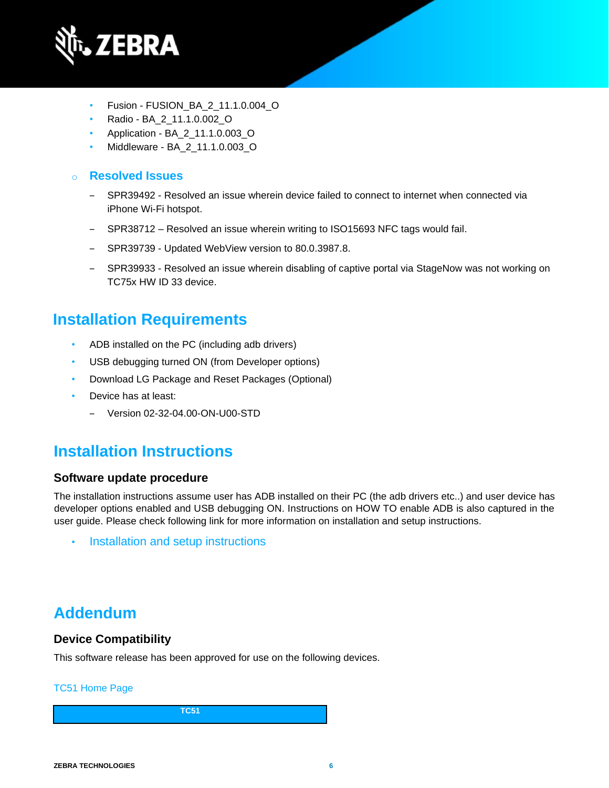

- Fusion FUSION\_BA\_2\_11.1.0.004\_O
- Radio BA\_2\_11.1.0.002\_O
- Application BA\_2\_11.1.0.003\_O
- Middleware BA\_2\_11.1.0.003\_O

#### o **Resolved Issues**

- ‒ SPR39492 Resolved an issue wherein device failed to connect to internet when connected via iPhone Wi-Fi hotspot.
- ‒ SPR38712 Resolved an issue wherein writing to ISO15693 NFC tags would fail.
- ‒ SPR39739 Updated WebView version to 80.0.3987.8.
- ‒ SPR39933 Resolved an issue wherein disabling of captive portal via StageNow was not working on TC75x HW ID 33 device.

## **Installation Requirements**

- ADB installed on the PC (including adb drivers)
- USB debugging turned ON (from Developer options)
- Download LG Package and Reset Packages (Optional)
- Device has at least:
	- ‒ Version 02-32-04.00-ON-U00-STD

# **Installation Instructions**

#### **Software update procedure**

The installation instructions assume user has ADB installed on their PC (the adb drivers etc..) and user device has developer options enabled and USB debugging ON. Instructions on HOW TO enable ADB is also captured in the user guide. Please check following link for more information on installation and setup instructions.

• [Installation and setup instructions](https://www.zebra.com/content/dam/zebra_new_ia/en-us/software/operating-system/tc5x-tc7x-shared-operating-system/atlas_oreo-os-update-instructions.pdf)

# **Addendum**

#### **Device Compatibility**

This software release has been approved for use on the following devices.

#### [TC51 Home Page](https://www.zebra.com/us/en/support-downloads/mobile-computers/handheld/tc51.html)

**TC51**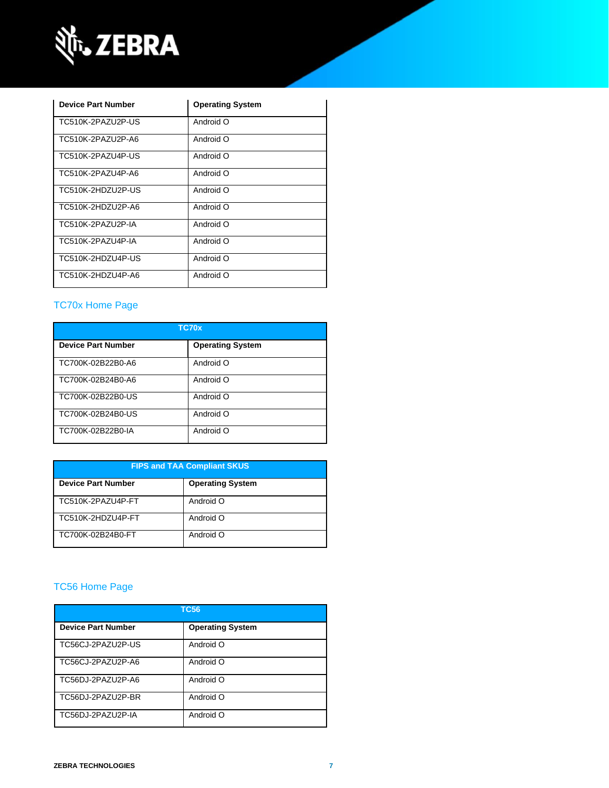

| <b>Device Part Number</b> | <b>Operating System</b> |
|---------------------------|-------------------------|
| TC510K-2PAZU2P-US         | Android O               |
| TC510K-2PAZU2P-A6         | Android O               |
| TC510K-2PAZU4P-US         | Android O               |
| TC510K-2PA7U4P-A6         | Android O               |
| TC510K-2HDZU2P-US         | O hionhnA               |
| TC510K-2HDZU2P-A6         | Android O               |
| TC510K-2PA7U2P-IA         | Android O               |
| TC510K-2PA7U4P-IA         | O hionhnA               |
| TC510K-2HDZU4P-US         | Android O               |
| TC510K-2HDZU4P-A6         | Android O               |

### [TC70x Home Page](https://www.zebra.com/us/en/support-downloads/mobile-computers/handheld/tc70x.html)

| TC70x                     |                         |  |
|---------------------------|-------------------------|--|
| <b>Device Part Number</b> | <b>Operating System</b> |  |
| TC700K-02B22B0-A6         | Android O               |  |
| TC700K-02B24B0-A6         | Android O               |  |
| TC700K-02B22B0-US         | Android O               |  |
| TC700K-02B24B0-US         | Android O               |  |
| TC700K-02B22B0-IA         | Android O               |  |

| <b>FIPS and TAA Compliant SKUS</b> |                         |  |
|------------------------------------|-------------------------|--|
| <b>Device Part Number</b>          | <b>Operating System</b> |  |
| TC510K-2PAZU4P-FT                  | Android O               |  |
| TC510K-2HDZU4P-FT                  | Android O               |  |
| TC700K-02B24B0-FT                  | Android O               |  |

## [TC56 Home Page](https://www.zebra.com/us/en/support-downloads/mobile-computers/handheld/tc56.html)

| <b>TC56</b>               |                         |  |
|---------------------------|-------------------------|--|
| <b>Device Part Number</b> | <b>Operating System</b> |  |
| TC56CJ-2PAZU2P-US         | Android O               |  |
| TC56CJ-2PAZU2P-A6         | Android O               |  |
| TC56DJ-2PAZU2P-A6         | Android O               |  |
| TC56DJ-2PAZU2P-BR         | Android O               |  |
| TC56DJ-2PAZU2P-IA         | Android O               |  |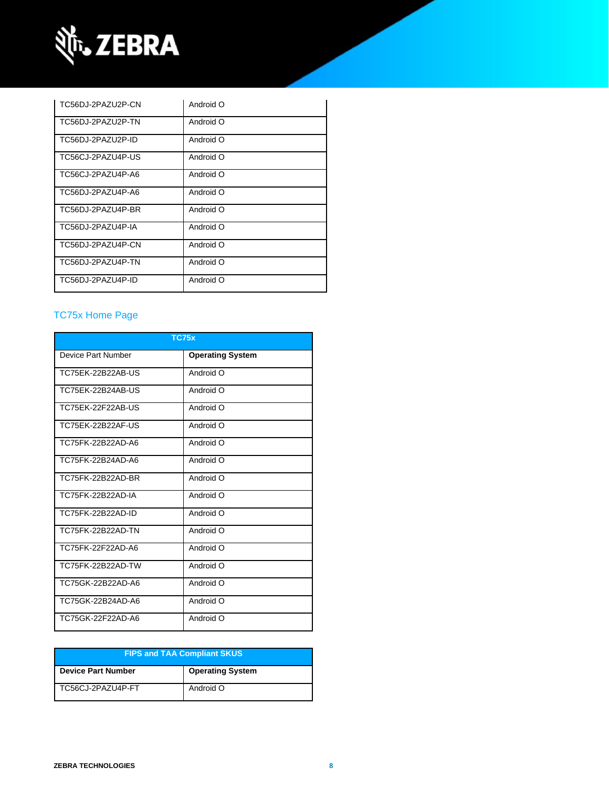

| TC56DJ-2PAZU2P-CN | Android O |
|-------------------|-----------|
| TC56DJ-2PAZU2P-TN | Android O |
| TC56DJ-2PAZU2P-ID | Android O |
| TC56CJ-2PAZU4P-US | Android O |
| TC56CJ-2PAZU4P-A6 | Android O |
| TC56DJ-2PAZU4P-A6 | Android O |
| TC56DJ-2PAZU4P-BR | Android O |
| TC56DJ-2PAZU4P-IA | Android O |
| TC56DJ-2PAZU4P-CN | Android O |
| TC56DJ-2PAZU4P-TN | Android O |
| TC56DJ-2PAZU4P-ID | Android O |

### [TC75x Home Page](https://www.zebra.com/us/en/support-downloads/mobile-computers/handheld/tc75x.html)

| <b>TC75x</b>       |                         |  |
|--------------------|-------------------------|--|
| Device Part Number | <b>Operating System</b> |  |
| TC75EK-22B22AB-US  | Android O               |  |
| TC75EK-22B24AB-US  | Android O               |  |
| TC75EK-22F22AB-US  | Android O               |  |
| TC75EK-22B22AF-US  | Android O               |  |
| TC75FK-22B22AD-A6  | Android O               |  |
| TC75FK-22B24AD-A6  | Android O               |  |
| TC75FK-22B22AD-BR  | Android O               |  |
| TC75FK-22B22AD-IA  | Android O               |  |
| TC75FK-22B22AD-ID  | Android O               |  |
| TC75FK-22B22AD-TN  | Android O               |  |
| TC75FK-22F22AD-A6  | Android O               |  |
| TC75FK-22B22AD-TW  | Android O               |  |
| TC75GK-22B22AD-A6  | Android O               |  |
| TC75GK-22B24AD-A6  | Android O               |  |
| TC75GK-22F22AD-A6  | Android O               |  |

| <b>FIPS and TAA Compliant SKUS</b> |                         |  |
|------------------------------------|-------------------------|--|
| <b>Device Part Number</b>          | <b>Operating System</b> |  |
| TC56CJ-2PAZU4P-FT                  | Android O               |  |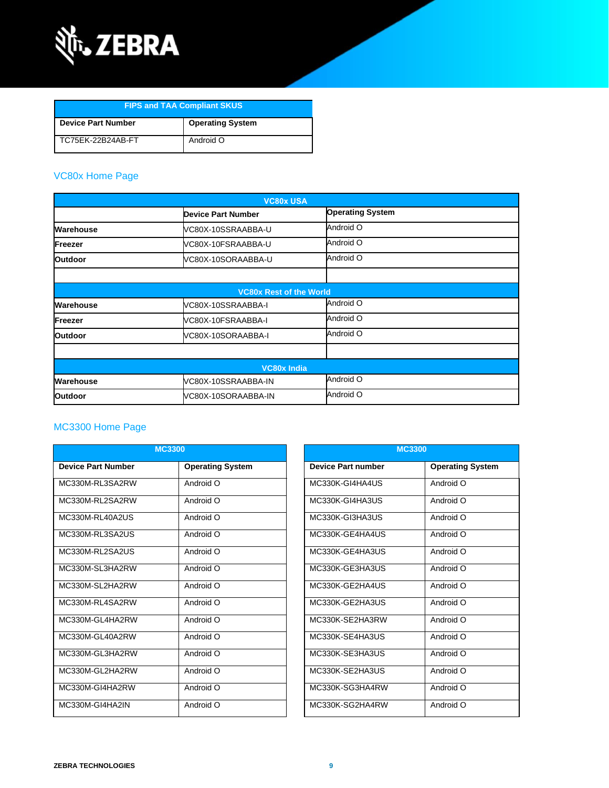

| <b>FIPS and TAA Compliant SKUS</b> |                         |  |
|------------------------------------|-------------------------|--|
| <b>Device Part Number</b>          | <b>Operating System</b> |  |
| TC75EK-22B24AB-FT                  | Android O               |  |

### [VC80x Home Page](https://www.zebra.com/us/en/support-downloads/mobile-computers/vehicle-mounted/vc80x.html)

| <b>VC80x USA</b>   |                                |                         |  |
|--------------------|--------------------------------|-------------------------|--|
|                    | <b>Device Part Number</b>      | <b>Operating System</b> |  |
| Warehouse          | VC80X-10SSRAABBA-U             | Android O               |  |
| Freezer            | VC80X-10FSRAABBA-U             | Android O               |  |
| <b>Outdoor</b>     | VC80X-10SORAABBA-U             | Android O               |  |
|                    |                                |                         |  |
|                    | <b>VC80x Rest of the World</b> |                         |  |
| Warehouse          | VC80X-10SSRAABBA-I             | Android O               |  |
| Freezer            | VC80X-10FSRAABBA-I             | Android O               |  |
| <b>Outdoor</b>     | VC80X-10SORAABBA-I             | Android O               |  |
|                    |                                |                         |  |
| <b>VC80x India</b> |                                |                         |  |
| Warehouse          | VC80X-10SSRAABBA-IN            | Android O               |  |
| <b>Outdoor</b>     | VC80X-10SORAABBA-IN            | Android O               |  |

#### MC3300 [Home Page](https://www.zebra.com/us/en/support-downloads/mobile-computers/handheld/mc3300.html)

| <b>MC3300</b>             |                         |                           | <b>MC3300</b>           |  |
|---------------------------|-------------------------|---------------------------|-------------------------|--|
| <b>Device Part Number</b> | <b>Operating System</b> | <b>Device Part number</b> | <b>Operating System</b> |  |
| MC330M-RL3SA2RW           | Android O               | MC330K-GI4HA4US           | Android O               |  |
| MC330M-RL2SA2RW           | Android O               | MC330K-GI4HA3US           | Android O               |  |
| MC330M-RL40A2US           | Android O               | MC330K-GI3HA3US           | Android O               |  |
| MC330M-RL3SA2US           | Android O               | MC330K-GE4HA4US           | Android O               |  |
| MC330M-RL2SA2US           | Android O               | MC330K-GE4HA3US           | Android O               |  |
| MC330M-SL3HA2RW           | Android O               | MC330K-GE3HA3US           | Android O               |  |
| MC330M-SL2HA2RW           | Android O               | MC330K-GE2HA4US           | Android O               |  |
| MC330M-RL4SA2RW           | Android O               | MC330K-GE2HA3US           | Android O               |  |
| MC330M-GL4HA2RW           | Android O               | MC330K-SE2HA3RW           | Android O               |  |
| MC330M-GL40A2RW           | Android O               | MC330K-SE4HA3US           | Android O               |  |
| MC330M-GL3HA2RW           | Android O               | MC330K-SE3HA3US           | Android O               |  |
| MC330M-GL2HA2RW           | Android O               | MC330K-SE2HA3US           | Android O               |  |
| MC330M-GI4HA2RW           | Android O               | MC330K-SG3HA4RW           | Android O               |  |
| MC330M-GI4HA2IN           | Android O               | MC330K-SG2HA4RW           | Android O               |  |

| <b>MC3300</b>             |                         |  |
|---------------------------|-------------------------|--|
| <b>Device Part number</b> | <b>Operating System</b> |  |
| MC330K-GI4HA4US           | Android O               |  |
| MC330K-GI4HA3US           | <b>O</b> bionbnA        |  |
| MC330K-GI3HA3US           | Android O               |  |
| MC330K-GF4HA4US           | Android O               |  |
| MC330K-GF4HA3US           | <b>O</b> bionbnA        |  |
| MC330K-GE3HA3US           | Android O               |  |
| MC330K-GF2HA4US           | Android O               |  |
| MC330K-GF2HA3US           | <b>O</b> bionbnA        |  |
| MC330K-SF2HA3RW           | O bionbnA               |  |
| MC330K-SE4HA3US           | Android O               |  |
| MC330K-SE3HA3US           | <b>O</b> bionbnA        |  |
| MC330K-SE2HA3US           | O bionbnA               |  |
| MC330K-SG3HA4RW           | Android O               |  |
| MC330K-SG2HA4RW           | Android O               |  |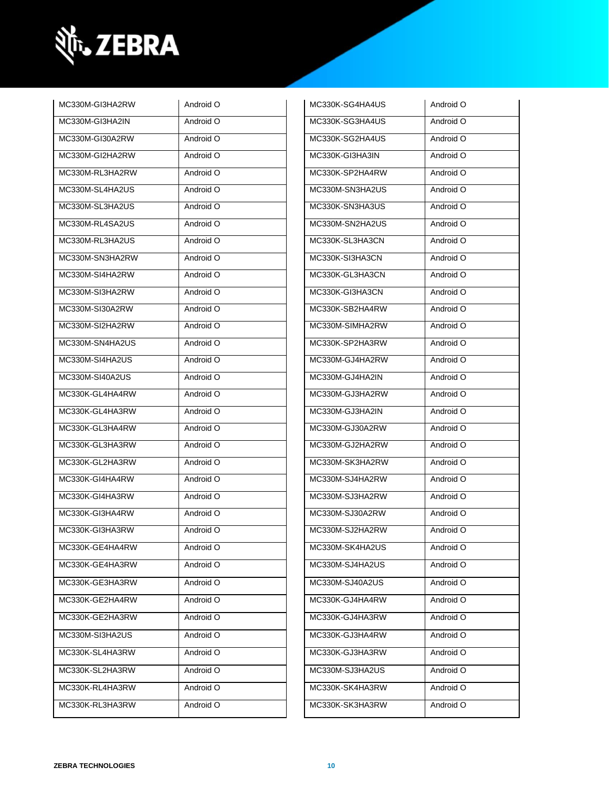

| MC330M-GI3HA2RW | Android O | MC330K-SG4HA4US | Android O |
|-----------------|-----------|-----------------|-----------|
| MC330M-GI3HA2IN | Android O | MC330K-SG3HA4US | Android O |
| MC330M-GI30A2RW | Android O | MC330K-SG2HA4US | Android O |
| MC330M-GI2HA2RW | Android O | MC330K-GI3HA3IN | Android O |
| MC330M-RL3HA2RW | Android O | MC330K-SP2HA4RW | Android O |
| MC330M-SL4HA2US | Android O | MC330M-SN3HA2US | Android O |
| MC330M-SL3HA2US | Android O | MC330K-SN3HA3US | Android O |
| MC330M-RL4SA2US | Android O | MC330M-SN2HA2US | Android O |
| MC330M-RL3HA2US | Android O | MC330K-SL3HA3CN | Android O |
| MC330M-SN3HA2RW | Android O | MC330K-SI3HA3CN | Android O |
| MC330M-SI4HA2RW | Android O | MC330K-GL3HA3CN | Android O |
| MC330M-SI3HA2RW | Android O | MC330K-GI3HA3CN | Android O |
| MC330M-SI30A2RW | Android O | MC330K-SB2HA4RW | Android O |
| MC330M-SI2HA2RW | Android O | MC330M-SIMHA2RW | Android O |
| MC330M-SN4HA2US | Android O | MC330K-SP2HA3RW | Android O |
| MC330M-SI4HA2US | Android O | MC330M-GJ4HA2RW | Android O |
| MC330M-SI40A2US | Android O | MC330M-GJ4HA2IN | Android O |
| MC330K-GL4HA4RW | Android O | MC330M-GJ3HA2RW | Android O |
| MC330K-GL4HA3RW | Android O | MC330M-GJ3HA2IN | Android O |
| MC330K-GL3HA4RW | Android O | MC330M-GJ30A2RW | Android O |
| MC330K-GL3HA3RW | Android O | MC330M-GJ2HA2RW | Android O |
| MC330K-GL2HA3RW | Android O | MC330M-SK3HA2RW | Android O |
| MC330K-GI4HA4RW | Android O | MC330M-SJ4HA2RW | Android O |
| MC330K-GI4HA3RW | Android O | MC330M-SJ3HA2RW | Android O |
| MC330K-GI3HA4RW | Android O | MC330M-SJ30A2RW | Android O |
| MC330K-GI3HA3RW | Android O | MC330M-SJ2HA2RW | Android O |
| MC330K-GE4HA4RW | Android O | MC330M-SK4HA2US | Android O |
| MC330K-GE4HA3RW | Android O | MC330M-SJ4HA2US | Android O |
| MC330K-GE3HA3RW | Android O | MC330M-SJ40A2US | Android O |
| MC330K-GE2HA4RW | Android O | MC330K-GJ4HA4RW | Android O |
| MC330K-GE2HA3RW | Android O | MC330K-GJ4HA3RW | Android O |
| MC330M-SI3HA2US | Android O | MC330K-GJ3HA4RW | Android O |
| MC330K-SL4HA3RW | Android O | MC330K-GJ3HA3RW | Android O |
| MC330K-SL2HA3RW | Android O | MC330M-SJ3HA2US | Android O |
| MC330K-RL4HA3RW | Android O | MC330K-SK4HA3RW | Android O |
| MC330K-RL3HA3RW | Android O | MC330K-SK3HA3RW | Android O |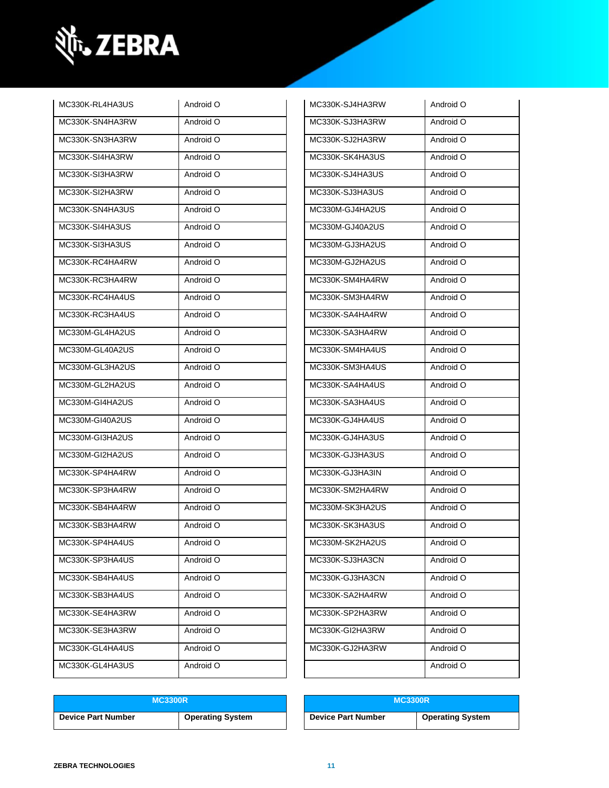

| MC330K-RL4HA3US | Android O | MC330K-SJ4HA3RW | Android O |
|-----------------|-----------|-----------------|-----------|
| MC330K-SN4HA3RW | Android O | MC330K-SJ3HA3RW | Android O |
| MC330K-SN3HA3RW | Android O | MC330K-SJ2HA3RW | Android O |
| MC330K-SI4HA3RW | Android O | MC330K-SK4HA3US | Android O |
| MC330K-SI3HA3RW | Android O | MC330K-SJ4HA3US | Android O |
| MC330K-SI2HA3RW | Android O | MC330K-SJ3HA3US | Android O |
| MC330K-SN4HA3US | Android O | MC330M-GJ4HA2US | Android O |
| MC330K-SI4HA3US | Android O | MC330M-GJ40A2US | Android O |
| MC330K-SI3HA3US | Android O | MC330M-GJ3HA2US | Android O |
| MC330K-RC4HA4RW | Android O | MC330M-GJ2HA2US | Android O |
| MC330K-RC3HA4RW | Android O | MC330K-SM4HA4RW | Android O |
| MC330K-RC4HA4US | Android O | MC330K-SM3HA4RW | Android O |
| MC330K-RC3HA4US | Android O | MC330K-SA4HA4RW | Android O |
| MC330M-GL4HA2US | Android O | MC330K-SA3HA4RW | Android O |
| MC330M-GL40A2US | Android O | MC330K-SM4HA4US | Android O |
| MC330M-GL3HA2US | Android O | MC330K-SM3HA4US | Android O |
| MC330M-GL2HA2US | Android O | MC330K-SA4HA4US | Android O |
| MC330M-GI4HA2US | Android O | MC330K-SA3HA4US | Android O |
| MC330M-GI40A2US | Android O | MC330K-GJ4HA4US | Android O |
| MC330M-GI3HA2US | Android O | MC330K-GJ4HA3US | Android O |
| MC330M-GI2HA2US | Android O | MC330K-GJ3HA3US | Android O |
| MC330K-SP4HA4RW | Android O | MC330K-GJ3HA3IN | Android O |
| MC330K-SP3HA4RW | Android O | MC330K-SM2HA4RW | Android O |
| MC330K-SB4HA4RW | Android O | MC330M-SK3HA2US | Android O |
| MC330K-SB3HA4RW | Android O | MC330K-SK3HA3US | Android O |
| MC330K-SP4HA4US | Android O | MC330M-SK2HA2US | Android O |
| MC330K-SP3HA4US | Android O | MC330K-SJ3HA3CN | Android O |
| MC330K-SB4HA4US | Android O | MC330K-GJ3HA3CN | Android O |
| MC330K-SB3HA4US | Android O | MC330K-SA2HA4RW | Android O |
| MC330K-SE4HA3RW | Android O | MC330K-SP2HA3RW | Android O |
| MC330K-SE3HA3RW | Android O | MC330K-GI2HA3RW | Android O |
| MC330K-GL4HA4US | Android O | MC330K-GJ2HA3RW | Android O |
| MC330K-GL4HA3US | Android O |                 | Android O |
|                 |           |                 |           |

| MC330K-SJ4HA3RW | Android O |
|-----------------|-----------|
| MC330K-SJ3HA3RW | Android O |
| MC330K-SJ2HA3RW | Android O |
| MC330K-SK4HA3US | Android O |
| MC330K-SJ4HA3US | Android O |
| MC330K-SJ3HA3US | Android O |
| MC330M-GJ4HA2US | Android O |
| MC330M-GJ40A2US | Android O |
| MC330M-GJ3HA2US | Android O |
| MC330M-GJ2HA2US | Android O |
| MC330K-SM4HA4RW | Android O |
| MC330K-SM3HA4RW | Android O |
| MC330K-SA4HA4RW | Android O |
| MC330K-SA3HA4RW | Android O |
| MC330K-SM4HA4US | Android O |
| MC330K-SM3HA4US | Android O |
| MC330K-SA4HA4US | Android O |
| MC330K-SA3HA4US | Android O |
| MC330K-GJ4HA4US | Android O |
| MC330K-GJ4HA3US | Android O |
| MC330K-GJ3HA3US | Android O |
| MC330K-GJ3HA3IN | Android O |
| MC330K-SM2HA4RW | Android O |
| MC330M-SK3HA2US | Android O |
| MC330K-SK3HA3US | Android O |
| MC330M-SK2HA2US | Android O |
| MC330K-SJ3HA3CN | Android O |
| MC330K-GJ3HA3CN | Android O |
| MC330K-SA2HA4RW | Android O |
| MC330K-SP2HA3RW | Android O |
| MC330K-GI2HA3RW | Android O |
| MC330K-GJ2HA3RW | Android O |
|                 | Android O |
|                 |           |

| <b>MC3300R</b>            |                         | <b>MC3300R</b>            |                         |
|---------------------------|-------------------------|---------------------------|-------------------------|
| <b>Device Part Number</b> | <b>Operating System</b> | <b>Device Part Number</b> | <b>Operating System</b> |

| <b>MC3300R</b>          | <b>MC3300R</b>            |                         |
|-------------------------|---------------------------|-------------------------|
| <b>Operating System</b> | <b>Device Part Number</b> | <b>Operating System</b> |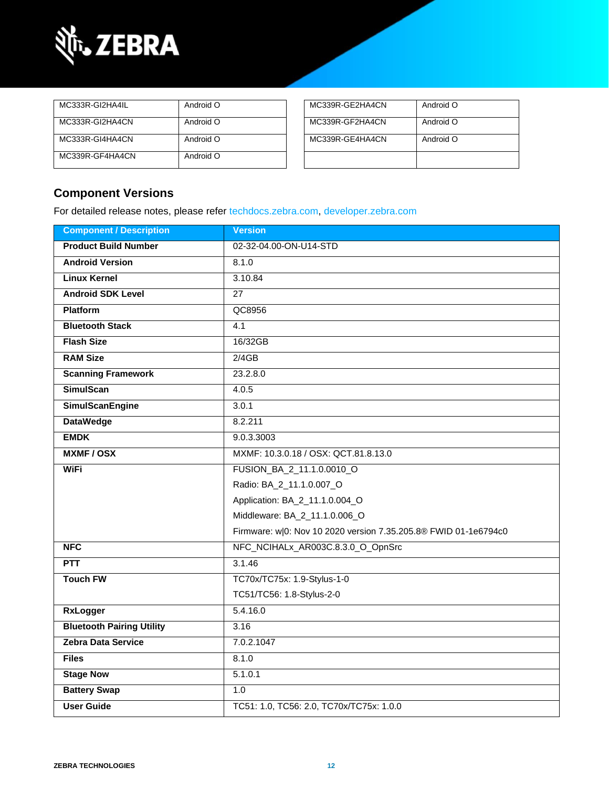

| MC333R-GI2HA4IL | Android O | MC339R-GE2HA4CN | Android O |
|-----------------|-----------|-----------------|-----------|
| MC333R-GI2HA4CN | Android O | MC339R-GF2HA4CN | Android O |
| MC333R-GI4HA4CN | Android O | MC339R-GE4HA4CN | Android O |
| MC339R-GF4HA4CN | Android O |                 |           |

| MC339R-GE2HA4CN | Android O |
|-----------------|-----------|
| MC339R-GF2HA4CN | Android O |
| MC339R-GE4HA4CN | Android O |
|                 |           |

### **Component Versions**

For detailed release notes, please refer [techdocs.zebra.com,](https://techdocs.zebra.com/) [developer.zebra.com](https://developer.zebra.com/)

| <b>Component / Description</b>   | <b>Version</b>                                                  |  |
|----------------------------------|-----------------------------------------------------------------|--|
| <b>Product Build Number</b>      | 02-32-04.00-ON-U14-STD                                          |  |
| <b>Android Version</b>           | 8.1.0                                                           |  |
| <b>Linux Kernel</b>              | 3.10.84                                                         |  |
| <b>Android SDK Level</b>         | $\overline{27}$                                                 |  |
| <b>Platform</b>                  | QC8956                                                          |  |
| <b>Bluetooth Stack</b>           | 4.1                                                             |  |
| <b>Flash Size</b>                | 16/32GB                                                         |  |
| <b>RAM Size</b>                  | 2/4GB                                                           |  |
| <b>Scanning Framework</b>        | 23.2.8.0                                                        |  |
| <b>SimulScan</b>                 | 4.0.5                                                           |  |
| <b>SimulScanEngine</b>           | 3.0.1                                                           |  |
| <b>DataWedge</b>                 | 8.2.211                                                         |  |
| <b>EMDK</b>                      | 9.0.3.3003                                                      |  |
| <b>MXMF/OSX</b>                  | MXMF: 10.3.0.18 / OSX: QCT.81.8.13.0                            |  |
| <b>WiFi</b>                      | FUSION_BA_2_11.1.0.0010_O                                       |  |
|                                  | Radio: BA_2_11.1.0.007_O                                        |  |
|                                  | Application: BA_2_11.1.0.004_O                                  |  |
|                                  | Middleware: BA_2_11.1.0.006_O                                   |  |
|                                  | Firmware: w 0: Nov 10 2020 version 7.35.205.8® FWID 01-1e6794c0 |  |
| <b>NFC</b>                       | NFC_NCIHALx_AR003C.8.3.0_O_OpnSrc                               |  |
| <b>PTT</b>                       | 3.1.46                                                          |  |
| <b>Touch FW</b>                  | TC70x/TC75x: 1.9-Stylus-1-0                                     |  |
|                                  | TC51/TC56: 1.8-Stylus-2-0                                       |  |
| <b>RxLogger</b>                  | 5.4.16.0                                                        |  |
| <b>Bluetooth Pairing Utility</b> | 3.16                                                            |  |
| Zebra Data Service               | 7.0.2.1047                                                      |  |
| <b>Files</b>                     | 8.1.0                                                           |  |
| <b>Stage Now</b>                 | 5.1.0.1                                                         |  |
| <b>Battery Swap</b>              | 1.0                                                             |  |
| <b>User Guide</b>                | TC51: 1.0, TC56: 2.0, TC70x/TC75x: 1.0.0                        |  |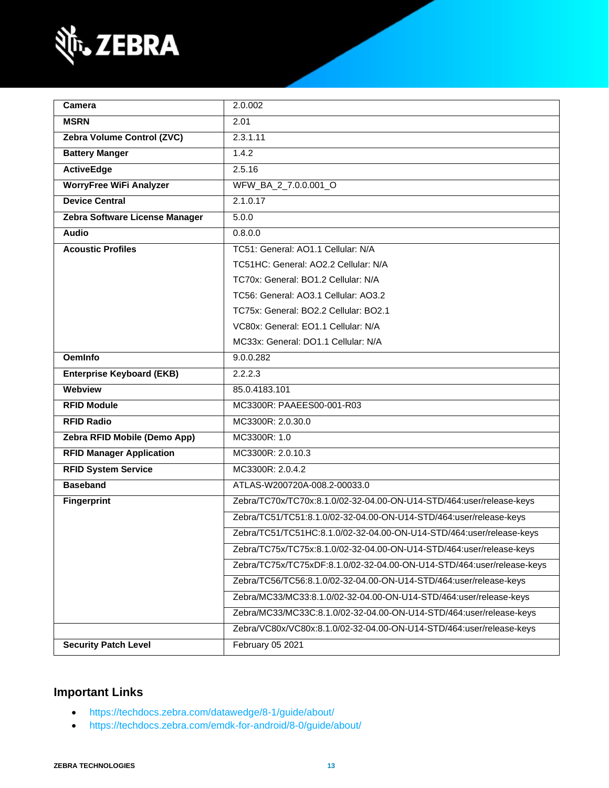

| Camera                           | 2.0.002                                                                |  |
|----------------------------------|------------------------------------------------------------------------|--|
| <b>MSRN</b>                      | 2.01                                                                   |  |
| Zebra Volume Control (ZVC)       | 2.3.1.11                                                               |  |
| <b>Battery Manger</b>            | 1.4.2                                                                  |  |
| <b>ActiveEdge</b>                | 2.5.16                                                                 |  |
| <b>WorryFree WiFi Analyzer</b>   | WFW_BA_2_7.0.0.001_O                                                   |  |
| <b>Device Central</b>            | 2.1.0.17                                                               |  |
| Zebra Software License Manager   | 5.0.0                                                                  |  |
| <b>Audio</b>                     | 0.8.0.0                                                                |  |
| <b>Acoustic Profiles</b>         | TC51: General: AO1.1 Cellular: N/A                                     |  |
|                                  | TC51HC: General: AO2.2 Cellular: N/A                                   |  |
|                                  | TC70x: General: BO1.2 Cellular: N/A                                    |  |
|                                  | TC56: General: AO3.1 Cellular: AO3.2                                   |  |
|                                  | TC75x: General: BO2.2 Cellular: BO2.1                                  |  |
|                                  | VC80x: General: EO1.1 Cellular: N/A                                    |  |
|                                  | MC33x: General: DO1.1 Cellular: N/A                                    |  |
| <b>OemInfo</b>                   | 9.0.0.282                                                              |  |
| <b>Enterprise Keyboard (EKB)</b> | 2.2.2.3                                                                |  |
| Webview                          | 85.0.4183.101                                                          |  |
| <b>RFID Module</b>               | MC3300R: PAAEES00-001-R03                                              |  |
| <b>RFID Radio</b>                | MC3300R: 2.0.30.0                                                      |  |
| Zebra RFID Mobile (Demo App)     | MC3300R: 1.0                                                           |  |
| <b>RFID Manager Application</b>  | MC3300R: 2.0.10.3                                                      |  |
| <b>RFID System Service</b>       | MC3300R: 2.0.4.2                                                       |  |
| <b>Baseband</b>                  | ATLAS-W200720A-008.2-00033.0                                           |  |
| <b>Fingerprint</b>               | Zebra/TC70x/TC70x:8.1.0/02-32-04.00-ON-U14-STD/464:user/release-keys   |  |
|                                  | Zebra/TC51/TC51:8.1.0/02-32-04.00-ON-U14-STD/464:user/release-keys     |  |
|                                  | Zebra/TC51/TC51HC:8.1.0/02-32-04.00-ON-U14-STD/464:user/release-keys   |  |
|                                  | Zebra/TC75x/TC75x:8.1.0/02-32-04.00-ON-U14-STD/464:user/release-keys   |  |
|                                  | Zebra/TC75x/TC75xDF:8.1.0/02-32-04.00-ON-U14-STD/464:user/release-keys |  |
|                                  | Zebra/TC56/TC56:8.1.0/02-32-04.00-ON-U14-STD/464:user/release-keys     |  |
|                                  | Zebra/MC33/MC33:8.1.0/02-32-04.00-ON-U14-STD/464:user/release-keys     |  |
|                                  | Zebra/MC33/MC33C:8.1.0/02-32-04.00-ON-U14-STD/464:user/release-keys    |  |
|                                  | Zebra/VC80x/VC80x:8.1.0/02-32-04.00-ON-U14-STD/464:user/release-keys   |  |
| <b>Security Patch Level</b>      | February 05 2021                                                       |  |

## **Important Links**

- <https://techdocs.zebra.com/datawedge/8-1/guide/about/>
- <https://techdocs.zebra.com/emdk-for-android/8-0/guide/about/>